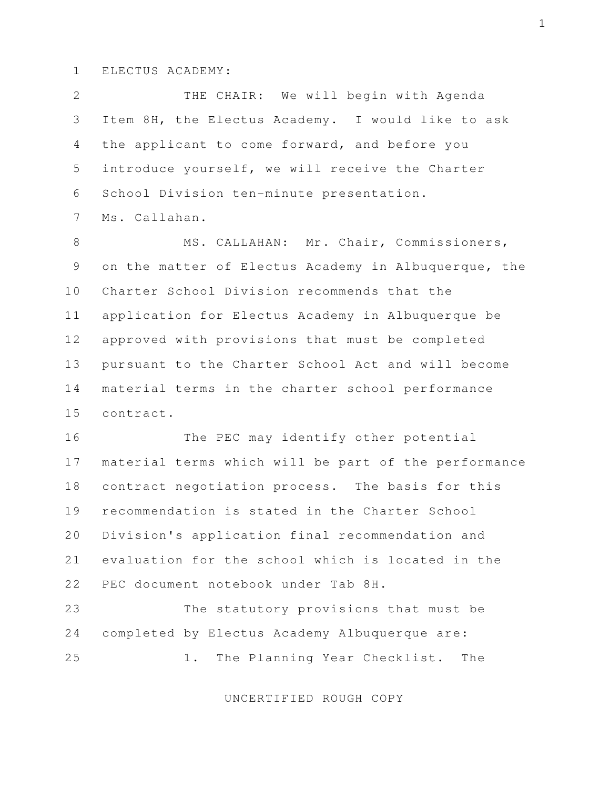## 1 ELECTUS ACADEMY:

 2 THE CHAIR: We will begin with Agenda 3 Item 8H, the Electus Academy. I would like to ask 4 the applicant to come forward, and before you 5 introduce yourself, we will receive the Charter 6 School Division ten-minute presentation.

7 Ms. Callahan.

8 MS. CALLAHAN: Mr. Chair, Commissioners, 9 on the matter of Electus Academy in Albuquerque, the 10 Charter School Division recommends that the 11 application for Electus Academy in Albuquerque be 12 approved with provisions that must be completed 13 pursuant to the Charter School Act and will become 14 material terms in the charter school performance 15 contract.

16 The PEC may identify other potential 17 material terms which will be part of the performance 18 contract negotiation process. The basis for this 19 recommendation is stated in the Charter School 20 Division's application final recommendation and 21 evaluation for the school which is located in the 22 PEC document notebook under Tab 8H.

23 The statutory provisions that must be 24 completed by Electus Academy Albuquerque are: 25 1. The Planning Year Checklist. The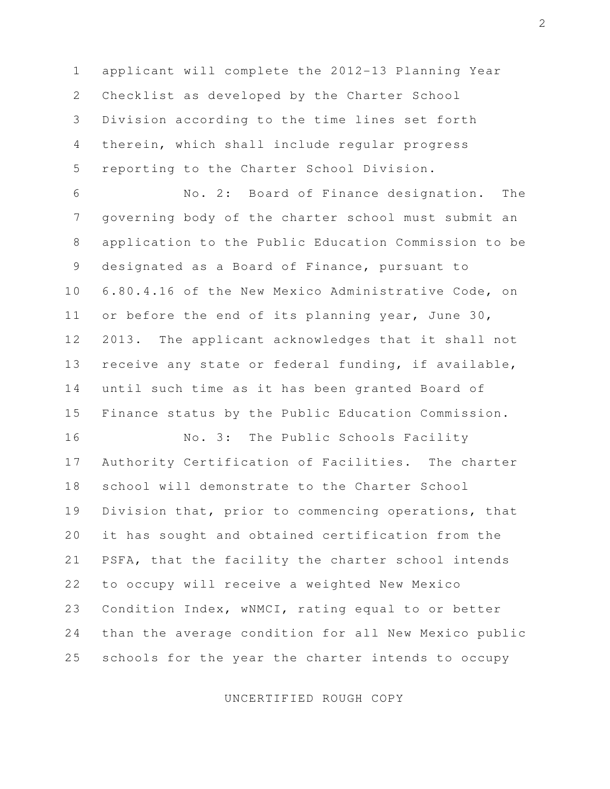1 applicant will complete the 2012-13 Planning Year 2 Checklist as developed by the Charter School 3 Division according to the time lines set forth 4 therein, which shall include regular progress 5 reporting to the Charter School Division.

 6 No. 2: Board of Finance designation. The 7 governing body of the charter school must submit an 8 application to the Public Education Commission to be 9 designated as a Board of Finance, pursuant to 10 6.80.4.16 of the New Mexico Administrative Code, on 11 or before the end of its planning year, June 30, 12 2013. The applicant acknowledges that it shall not 13 receive any state or federal funding, if available, 14 until such time as it has been granted Board of 15 Finance status by the Public Education Commission.

16 No. 3: The Public Schools Facility 17 Authority Certification of Facilities. The charter 18 school will demonstrate to the Charter School 19 Division that, prior to commencing operations, that 20 it has sought and obtained certification from the 21 PSFA, that the facility the charter school intends 22 to occupy will receive a weighted New Mexico 23 Condition Index, wNMCI, rating equal to or better 24 than the average condition for all New Mexico public 25 schools for the year the charter intends to occupy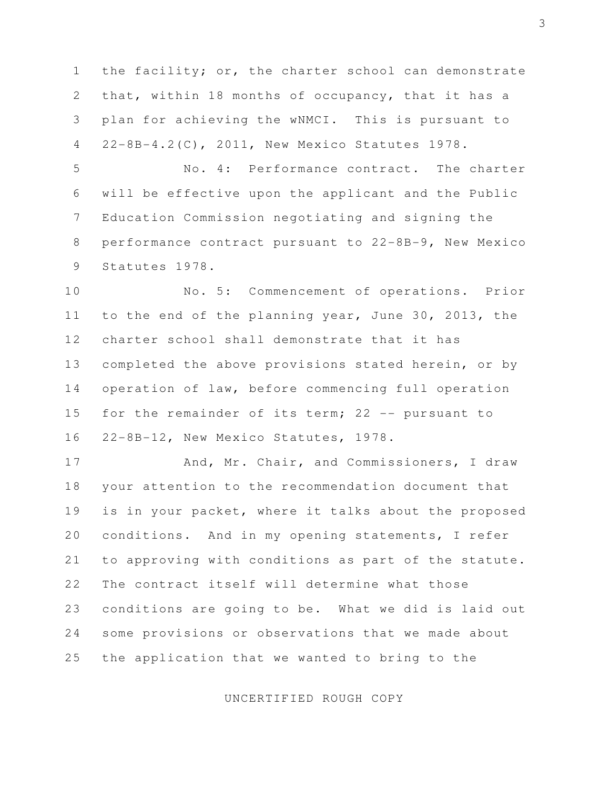1 the facility; or, the charter school can demonstrate 2 that, within 18 months of occupancy, that it has a 3 plan for achieving the wNMCI. This is pursuant to 4 22-8B-4.2(C), 2011, New Mexico Statutes 1978.

 5 No. 4: Performance contract. The charter 6 will be effective upon the applicant and the Public 7 Education Commission negotiating and signing the 8 performance contract pursuant to 22-8B-9, New Mexico 9 Statutes 1978.

10 No. 5: Commencement of operations. Prior 11 to the end of the planning year, June 30, 2013, the 12 charter school shall demonstrate that it has 13 completed the above provisions stated herein, or by 14 operation of law, before commencing full operation 15 for the remainder of its term; 22 -- pursuant to 16 22-8B-12, New Mexico Statutes, 1978.

17 And, Mr. Chair, and Commissioners, I draw 18 your attention to the recommendation document that 19 is in your packet, where it talks about the proposed 20 conditions. And in my opening statements, I refer 21 to approving with conditions as part of the statute. 22 The contract itself will determine what those 23 conditions are going to be. What we did is laid out 24 some provisions or observations that we made about 25 the application that we wanted to bring to the

UNCERTIFIED ROUGH COPY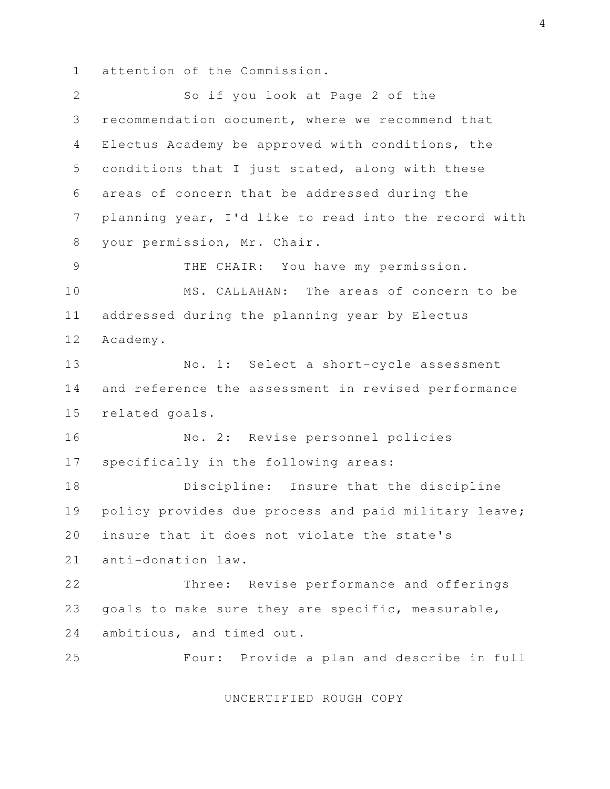1 attention of the Commission.

 2 So if you look at Page 2 of the 3 recommendation document, where we recommend that 4 Electus Academy be approved with conditions, the 5 conditions that I just stated, along with these 6 areas of concern that be addressed during the 7 planning year, I'd like to read into the record with 8 your permission, Mr. Chair. 9 THE CHAIR: You have my permission. 10 MS. CALLAHAN: The areas of concern to be 11 addressed during the planning year by Electus 12 Academy. 13 No. 1: Select a short-cycle assessment 14 and reference the assessment in revised performance 15 related goals. 16 No. 2: Revise personnel policies 17 specifically in the following areas: 18 Discipline: Insure that the discipline 19 policy provides due process and paid military leave; 20 insure that it does not violate the state's 21 anti-donation law. 22 Three: Revise performance and offerings 23 goals to make sure they are specific, measurable, 24 ambitious, and timed out. 25 Four: Provide a plan and describe in full

UNCERTIFIED ROUGH COPY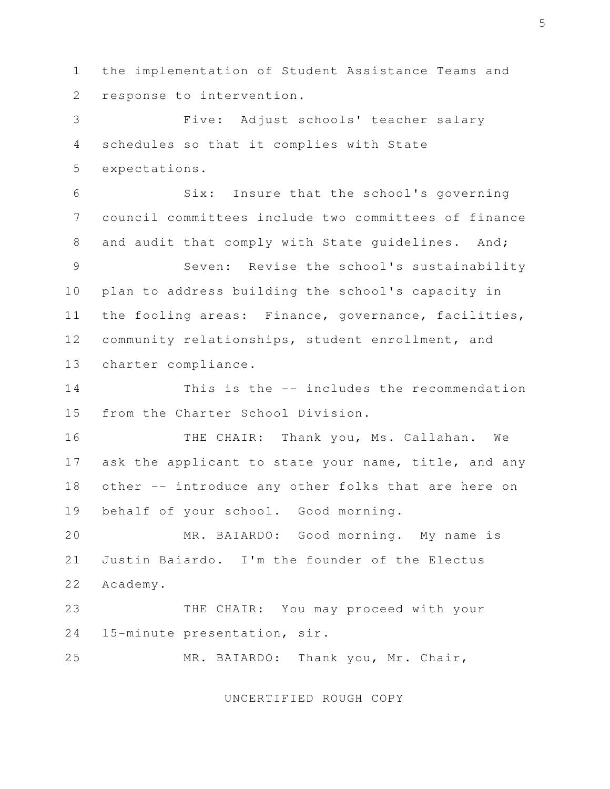1 the implementation of Student Assistance Teams and 2 response to intervention.

 3 Five: Adjust schools' teacher salary 4 schedules so that it complies with State 5 expectations.

 6 Six: Insure that the school's governing 7 council committees include two committees of finance 8 and audit that comply with State quidelines. And;

 9 Seven: Revise the school's sustainability 10 plan to address building the school's capacity in 11 the fooling areas: Finance, governance, facilities, 12 community relationships, student enrollment, and 13 charter compliance.

14 This is the -- includes the recommendation 15 from the Charter School Division.

16 THE CHAIR: Thank you, Ms. Callahan. We 17 ask the applicant to state your name, title, and any 18 other -- introduce any other folks that are here on 19 behalf of your school. Good morning.

20 MR. BAIARDO: Good morning. My name is 21 Justin Baiardo. I'm the founder of the Electus 22 Academy.

23 THE CHAIR: You may proceed with your 24 15-minute presentation, sir.

25 MR. BAIARDO: Thank you, Mr. Chair,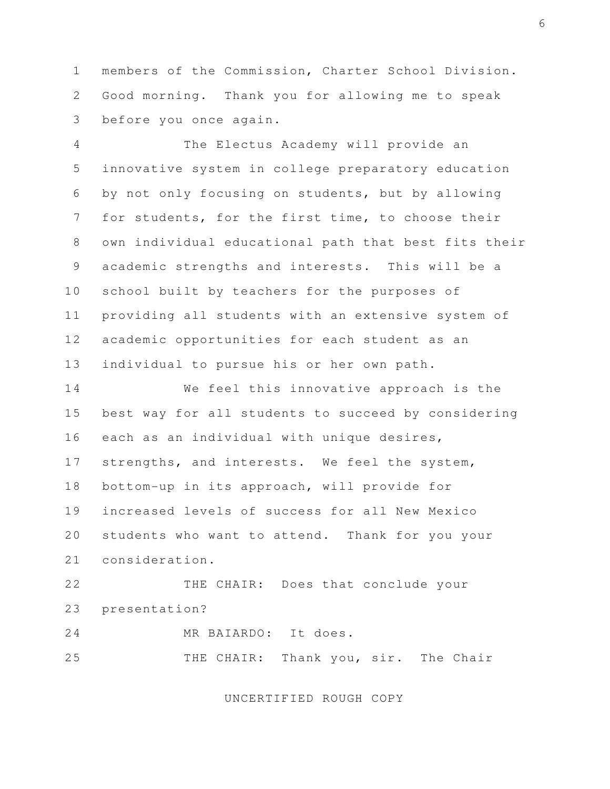1 members of the Commission, Charter School Division. 2 Good morning. Thank you for allowing me to speak 3 before you once again.

 4 The Electus Academy will provide an 5 innovative system in college preparatory education 6 by not only focusing on students, but by allowing 7 for students, for the first time, to choose their 8 own individual educational path that best fits their 9 academic strengths and interests. This will be a 10 school built by teachers for the purposes of 11 providing all students with an extensive system of 12 academic opportunities for each student as an 13 individual to pursue his or her own path.

14 We feel this innovative approach is the 15 best way for all students to succeed by considering 16 each as an individual with unique desires, 17 strengths, and interests. We feel the system, 18 bottom-up in its approach, will provide for 19 increased levels of success for all New Mexico 20 students who want to attend. Thank for you your 21 consideration.

22 THE CHAIR: Does that conclude your 23 presentation?

24 MR BAIARDO: It does. 25 THE CHAIR: Thank you, sir. The Chair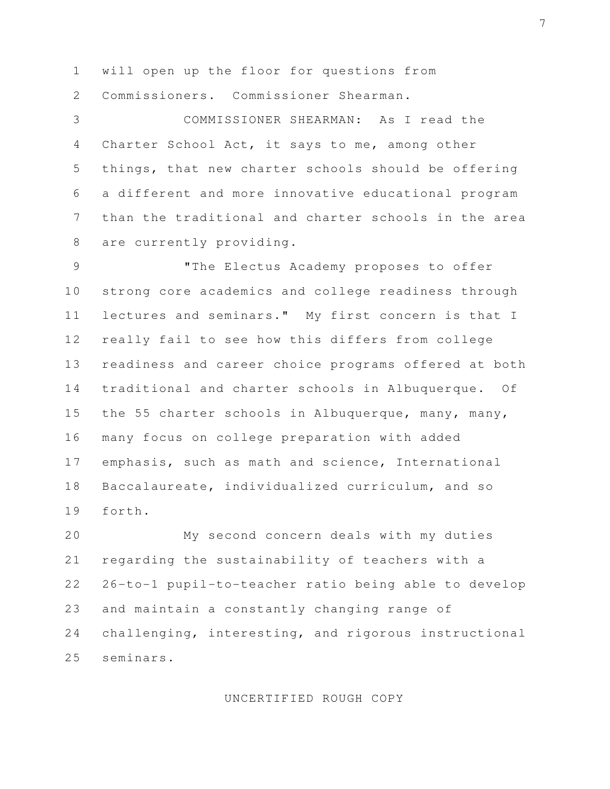1 will open up the floor for questions from 2 Commissioners. Commissioner Shearman.

 3 COMMISSIONER SHEARMAN: As I read the 4 Charter School Act, it says to me, among other 5 things, that new charter schools should be offering 6 a different and more innovative educational program 7 than the traditional and charter schools in the area 8 are currently providing.

 9 "The Electus Academy proposes to offer 10 strong core academics and college readiness through 11 lectures and seminars." My first concern is that I 12 really fail to see how this differs from college 13 readiness and career choice programs offered at both 14 traditional and charter schools in Albuquerque. Of 15 the 55 charter schools in Albuquerque, many, many, 16 many focus on college preparation with added 17 emphasis, such as math and science, International 18 Baccalaureate, individualized curriculum, and so 19 forth.

20 My second concern deals with my duties 21 regarding the sustainability of teachers with a 22 26-to-1 pupil-to-teacher ratio being able to develop 23 and maintain a constantly changing range of 24 challenging, interesting, and rigorous instructional 25 seminars.

UNCERTIFIED ROUGH COPY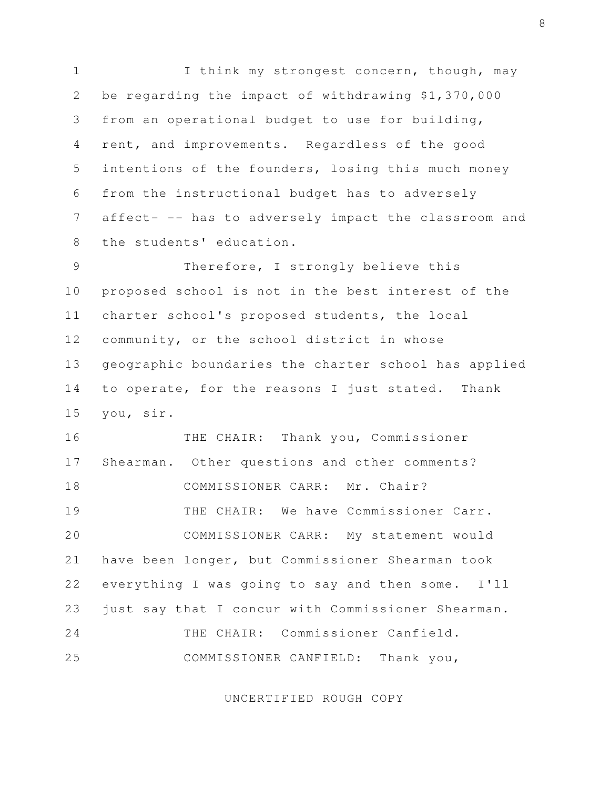1 I think my strongest concern, though, may 2 be regarding the impact of withdrawing \$1,370,000 3 from an operational budget to use for building, 4 rent, and improvements. Regardless of the good 5 intentions of the founders, losing this much money 6 from the instructional budget has to adversely 7 affect- -- has to adversely impact the classroom and 8 the students' education.

 9 Therefore, I strongly believe this 10 proposed school is not in the best interest of the 11 charter school's proposed students, the local 12 community, or the school district in whose 13 geographic boundaries the charter school has applied 14 to operate, for the reasons I just stated. Thank 15 you, sir.

16 THE CHAIR: Thank you, Commissioner 17 Shearman. Other questions and other comments? 18 COMMISSIONER CARR: Mr. Chair? 19 THE CHAIR: We have Commissioner Carr. 20 COMMISSIONER CARR: My statement would 21 have been longer, but Commissioner Shearman took 22 everything I was going to say and then some. I'll 23 just say that I concur with Commissioner Shearman. 24 THE CHAIR: Commissioner Canfield. 25 COMMISSIONER CANFIELD: Thank you,

UNCERTIFIED ROUGH COPY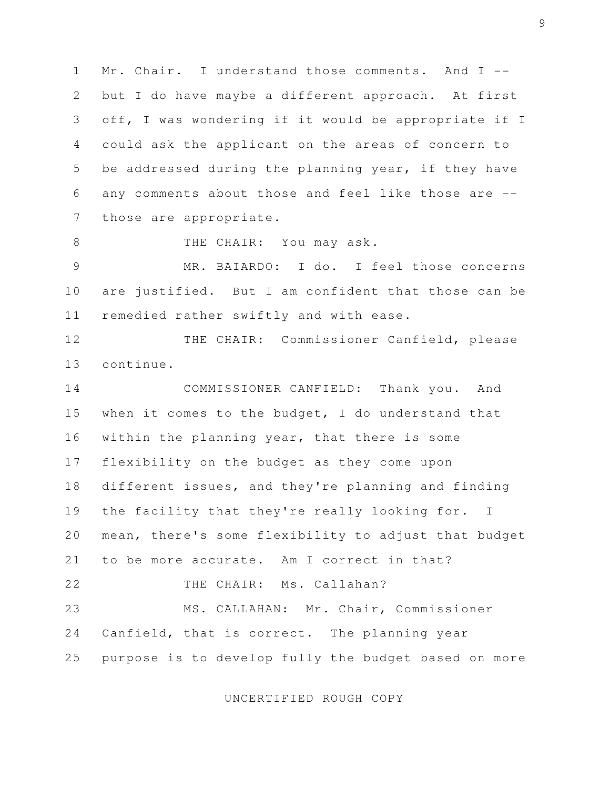1 Mr. Chair. I understand those comments. And I -- 2 but I do have maybe a different approach. At first 3 off, I was wondering if it would be appropriate if I 4 could ask the applicant on the areas of concern to 5 be addressed during the planning year, if they have 6 any comments about those and feel like those are -- 7 those are appropriate.

8 THE CHAIR: You may ask.

 9 MR. BAIARDO: I do. I feel those concerns 10 are justified. But I am confident that those can be 11 remedied rather swiftly and with ease.

12 THE CHAIR: Commissioner Canfield, please 13 continue.

14 COMMISSIONER CANFIELD: Thank you. And 15 when it comes to the budget, I do understand that 16 within the planning year, that there is some 17 flexibility on the budget as they come upon 18 different issues, and they're planning and finding 19 the facility that they're really looking for. I 20 mean, there's some flexibility to adjust that budget 21 to be more accurate. Am I correct in that? 22 THE CHAIR: Ms. Callahan? 23 MS. CALLAHAN: Mr. Chair, Commissioner 24 Canfield, that is correct. The planning year 25 purpose is to develop fully the budget based on more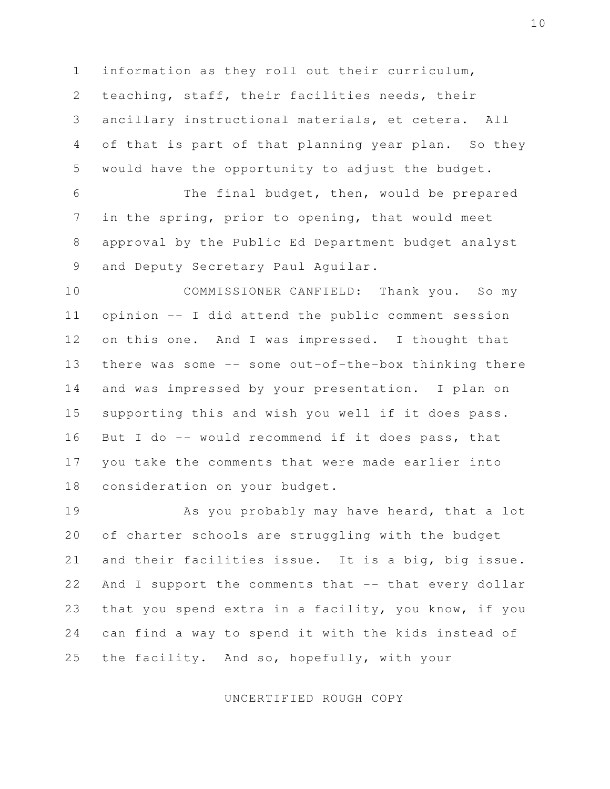1 information as they roll out their curriculum, 2 teaching, staff, their facilities needs, their 3 ancillary instructional materials, et cetera. All 4 of that is part of that planning year plan. So they 5 would have the opportunity to adjust the budget.

 6 The final budget, then, would be prepared 7 in the spring, prior to opening, that would meet 8 approval by the Public Ed Department budget analyst 9 and Deputy Secretary Paul Aguilar.

10 COMMISSIONER CANFIELD: Thank you. So my 11 opinion -- I did attend the public comment session 12 on this one. And I was impressed. I thought that 13 there was some -- some out-of-the-box thinking there 14 and was impressed by your presentation. I plan on 15 supporting this and wish you well if it does pass. 16 But I do -- would recommend if it does pass, that 17 you take the comments that were made earlier into 18 consideration on your budget.

19 As you probably may have heard, that a lot 20 of charter schools are struggling with the budget 21 and their facilities issue. It is a big, big issue. 22 And I support the comments that -- that every dollar 23 that you spend extra in a facility, you know, if you 24 can find a way to spend it with the kids instead of 25 the facility. And so, hopefully, with your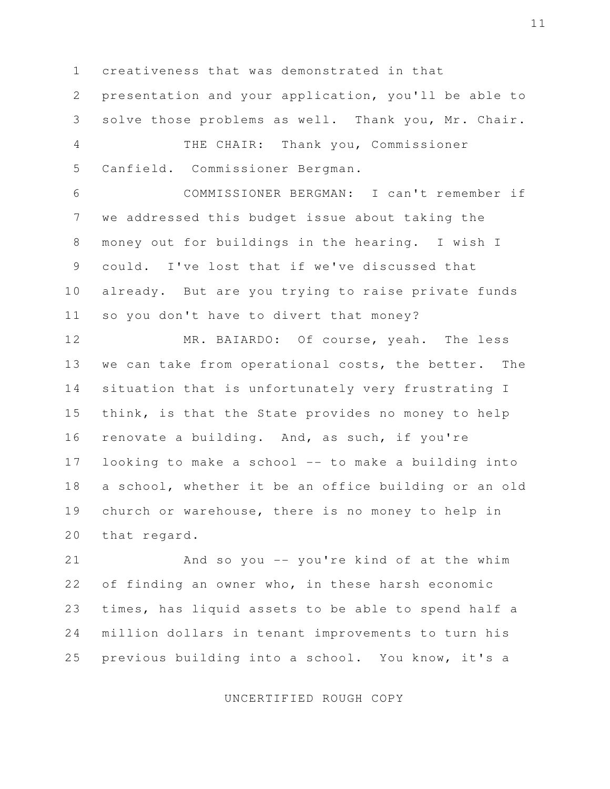1 creativeness that was demonstrated in that

5 Canfield. Commissioner Bergman.

 2 presentation and your application, you'll be able to 3 solve those problems as well. Thank you, Mr. Chair. 4 THE CHAIR: Thank you, Commissioner

 6 COMMISSIONER BERGMAN: I can't remember if 7 we addressed this budget issue about taking the 8 money out for buildings in the hearing. I wish I 9 could. I've lost that if we've discussed that 10 already. But are you trying to raise private funds 11 so you don't have to divert that money?

12 MR. BAIARDO: Of course, yeah. The less 13 we can take from operational costs, the better. The 14 situation that is unfortunately very frustrating I 15 think, is that the State provides no money to help 16 renovate a building. And, as such, if you're 17 looking to make a school -- to make a building into 18 a school, whether it be an office building or an old 19 church or warehouse, there is no money to help in 20 that regard.

21 And so you -- you're kind of at the whim 22 of finding an owner who, in these harsh economic 23 times, has liquid assets to be able to spend half a 24 million dollars in tenant improvements to turn his 25 previous building into a school. You know, it's a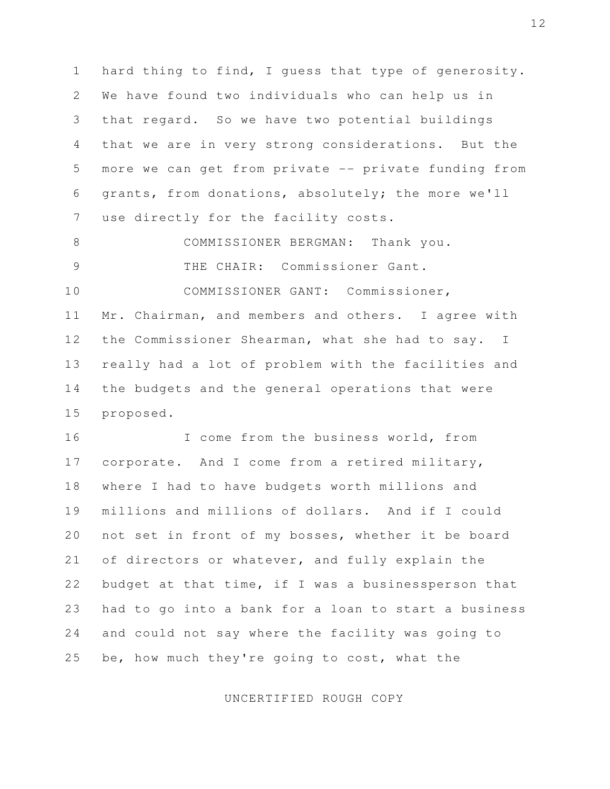1 hard thing to find, I guess that type of generosity. 2 We have found two individuals who can help us in 3 that regard. So we have two potential buildings 4 that we are in very strong considerations. But the 5 more we can get from private -- private funding from 6 grants, from donations, absolutely; the more we'll 7 use directly for the facility costs.

 8 COMMISSIONER BERGMAN: Thank you. 9 THE CHAIR: Commissioner Gant.

10 COMMISSIONER GANT: Commissioner, 11 Mr. Chairman, and members and others. I agree with 12 the Commissioner Shearman, what she had to say. I 13 really had a lot of problem with the facilities and 14 the budgets and the general operations that were 15 proposed.

16 I come from the business world, from 17 corporate. And I come from a retired military, 18 where I had to have budgets worth millions and 19 millions and millions of dollars. And if I could 20 not set in front of my bosses, whether it be board 21 of directors or whatever, and fully explain the 22 budget at that time, if I was a businessperson that 23 had to go into a bank for a loan to start a business 24 and could not say where the facility was going to 25 be, how much they're going to cost, what the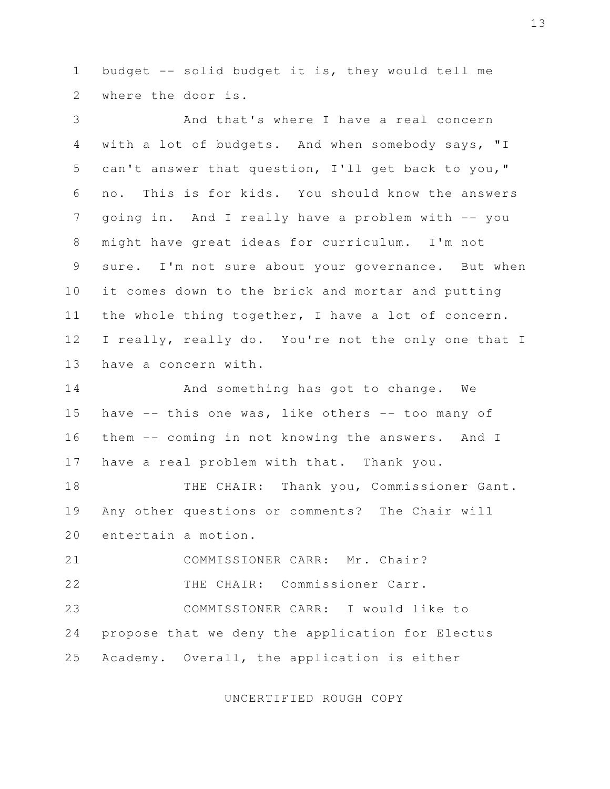1 budget -- solid budget it is, they would tell me 2 where the door is.

 3 And that's where I have a real concern 4 with a lot of budgets. And when somebody says, "I 5 can't answer that question, I'll get back to you," 6 no. This is for kids. You should know the answers 7 going in. And I really have a problem with -- you 8 might have great ideas for curriculum. I'm not 9 sure. I'm not sure about your governance. But when 10 it comes down to the brick and mortar and putting 11 the whole thing together, I have a lot of concern. 12 I really, really do. You're not the only one that I 13 have a concern with.

14 And something has got to change. We 15 have -- this one was, like others -- too many of 16 them -- coming in not knowing the answers. And I 17 have a real problem with that. Thank you.

18 THE CHAIR: Thank you, Commissioner Gant. 19 Any other questions or comments? The Chair will 20 entertain a motion.

21 COMMISSIONER CARR: Mr. Chair?

22 THE CHAIR: Commissioner Carr.

23 COMMISSIONER CARR: I would like to 24 propose that we deny the application for Electus 25 Academy. Overall, the application is either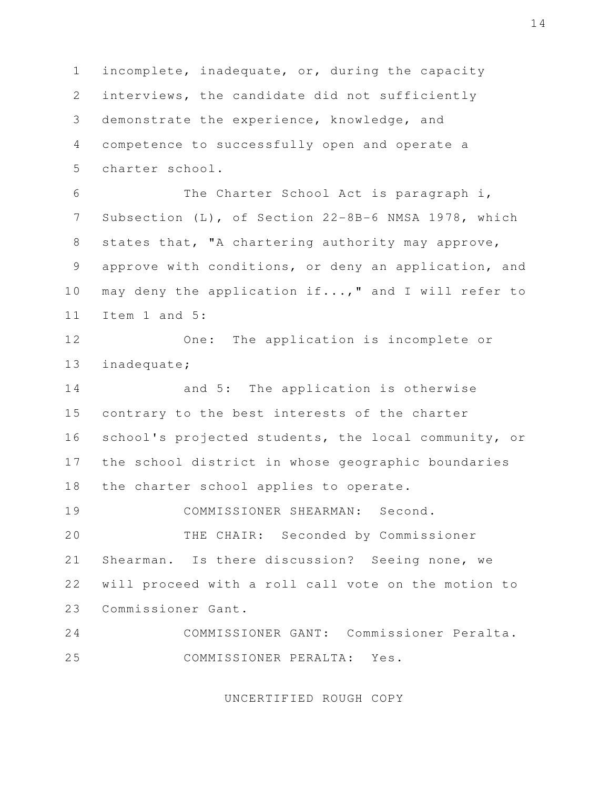1 incomplete, inadequate, or, during the capacity 2 interviews, the candidate did not sufficiently 3 demonstrate the experience, knowledge, and 4 competence to successfully open and operate a 5 charter school.

 6 The Charter School Act is paragraph i, 7 Subsection (L), of Section 22-8B-6 NMSA 1978, which 8 states that, "A chartering authority may approve, 9 approve with conditions, or deny an application, and 10 may deny the application if...," and I will refer to 11 Item 1 and 5:

12 One: The application is incomplete or 13 inadequate;

14 and 5: The application is otherwise 15 contrary to the best interests of the charter 16 school's projected students, the local community, or 17 the school district in whose geographic boundaries 18 the charter school applies to operate.

19 COMMISSIONER SHEARMAN: Second. 20 THE CHAIR: Seconded by Commissioner 21 Shearman. Is there discussion? Seeing none, we 22 will proceed with a roll call vote on the motion to 23 Commissioner Gant.

24 COMMISSIONER GANT: Commissioner Peralta. 25 COMMISSIONER PERALTA: Yes.